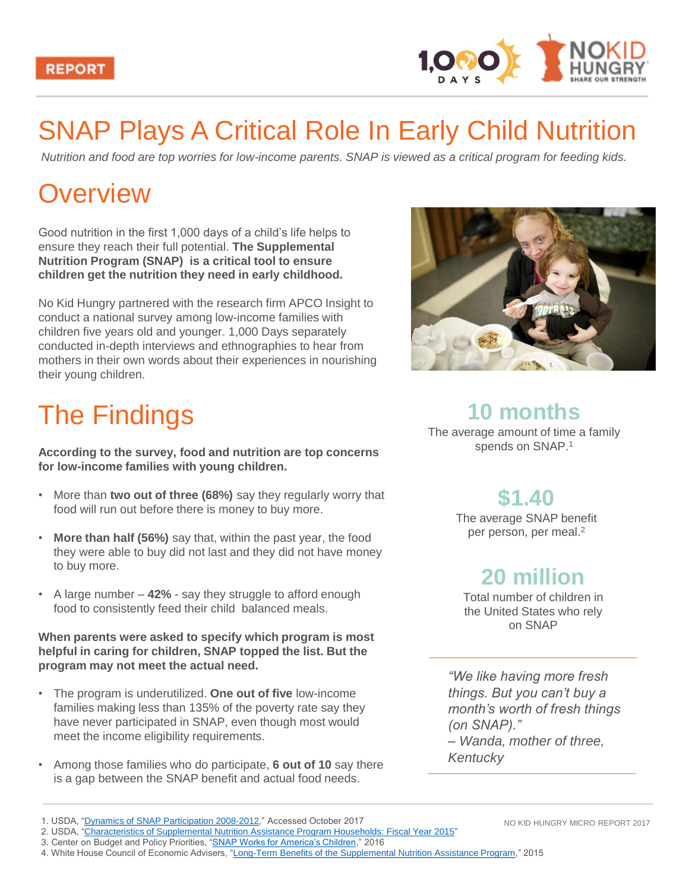



## SNAP Plays A Critical Role In Early Child Nutrition

*Nutrition and food are top worries for low-income parents. SNAP is viewed as a critical program for feeding kids.* 

## **Overview**

Good nutrition in the first 1,000 days of a child's life helps to ensure they reach their full potential. **The Supplemental Nutrition Program (SNAP) is a critical tool to ensure children get the nutrition they need in early childhood.** 

No Kid Hungry partnered with the research firm APCO Insight to conduct a national survey among low-income families with children five years old and younger. 1,000 Days separately conducted in-depth interviews and ethnographies to hear from mothers in their own words about their experiences in nourishing their young children.

# The Findings

**According to the survey, food and nutrition are top concerns for low-income families with young children.** 

- More than **two out of three (68%)** say they regularly worry that food will run out before there is money to buy more.
- **More than half (56%)** say that, within the past year, the food they were able to buy did not last and they did not have money to buy more.
- A large number **42%**  say they struggle to afford enough food to consistently feed their child balanced meals.

**When parents were asked to specify which program is most helpful in caring for children, SNAP topped the list. But the program may not meet the actual need.** 

- The program is underutilized. **One out of five** low-income families making less than 135% of the poverty rate say they have never participated in SNAP, even though most would meet the income eligibility requirements.
- Among those families who do participate, **6 out of 10** say there is a gap between the SNAP benefit and actual food needs.



### **10 months**

The average amount of time a family spends on SNAP.<sup>1</sup>

### **\$1.40**

The average SNAP benefit per person, per meal.<sup>2</sup>

### **20 million**

Total number of children in the United States who rely on SNAP

*"We like having more fresh things. But you can't buy a month's worth of fresh things (on SNAP)." – Wanda, mother of three, Kentucky*

<sup>1.</sup> USDA, ["Dynamics of SNAP Participation 2008-2012](https://fns-prod.azureedge.net/sites/default/files/DynamicsMid2000_Summary.pdf)," Accessed October 2017 2. USDA, ["Characteristics of Supplemental Nutrition Assistance Program Households: Fiscal Year 2015](https://fns-prod.azureedge.net/sites/default/files/ops/Characteristics2015.pdf)"

NO KID HUNGRY MICRO REPORT 2017

<sup>3.</sup> Center on Budget and Policy Priorities, "[SNAP Works for America's Children,](https://www.cbpp.org/research/food-assistance/snap-works-for-americas-children)" 2016

<sup>4.</sup> White House Council of Economic Advisers, ["Long-Term Benefits of the Supplemental Nutrition Assistance Program](https://obamawhitehouse.archives.gov/blog/2015/12/08/new-cea-report-finds-snap-benefits-are-crucial-families-sometimes-inadequate)," 2015